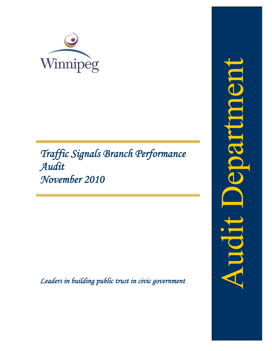

# *Traffic Signals Branch Performance Audit November 2010*

*Leaders in building public trust in civic government* 

ponthec TPDDAY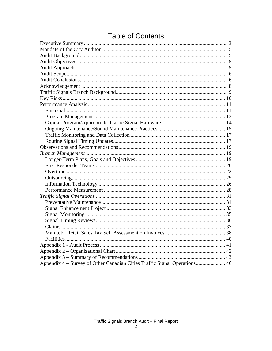| Appendix 4 – Survey of Other Canadian Cities Traffic Signal Operations 46 |  |
|---------------------------------------------------------------------------|--|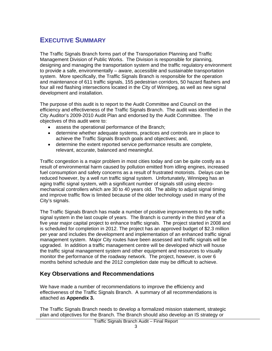# **EXECUTIVE SUMMARY**

The Traffic Signals Branch forms part of the Transportation Planning and Traffic Management Division of Public Works. The Division is responsible for planning, designing and managing the transportation system and the traffic regulatory environment to provide a safe, environmentally – aware, accessible and sustainable transportation system. More specifically, the Traffic Signals Branch is responsible for the operation and maintenance of 611 traffic signals, 155 pedestrian corridors, 50 hazard flashers and four all red flashing intersections located in the City of Winnipeg, as well as new signal development and installation.

The purpose of this audit is to report to the Audit Committee and Council on the efficiency and effectiveness of the Traffic Signals Branch. The audit was identified in the City Auditor's 2009-2010 Audit Plan and endorsed by the Audit Committee. The objectives of this audit were to:

- assess the operational performance of the Branch;
- determine whether adequate systems, practices and controls are in place to achieve the Traffic Signals Branch goals and objectives; and,
- determine the extent reported service performance results are complete, relevant, accurate, balanced and meaningful.

Traffic congestion is a major problem in most cities today and can be quite costly as a result of environmental harm caused by pollution emitted from idling engines, increased fuel consumption and safety concerns as a result of frustrated motorists. Delays can be reduced however, by a well run traffic signal system. Unfortunately, Winnipeg has an aging traffic signal system, with a significant number of signals still using electromechanical controllers which are 30 to 40 years old. The ability to adjust signal timing and improve traffic flow is limited because of the older technology used in many of the City's signals.

The Traffic Signals Branch has made a number of positive improvements to the traffic signal system in the last couple of years. The Branch is currently in the third year of a five year major capital project to enhance traffic signals. The project started in 2008 and is scheduled for completion in 2012. The project has an approved budget of \$2.3 million per year and includes the development and implementation of an enhanced traffic signal management system. Major City routes have been assessed and traffic signals will be upgraded. In addition a traffic management centre will be developed which will house the traffic signal management system and other equipment and resources to visually monitor the performance of the roadway network. The project, however, is over 6 months behind schedule and the 2012 completion date may be difficult to achieve.

# **Key Observations and Recommendations**

We have made a number of recommendations to improve the efficiency and effectiveness of the Traffic Signals Branch. A summary of all recommendations is attached as **Appendix 3.**

The Traffic Signals Branch needs to develop a formalized mission statement, strategic plan and objectives for the Branch. The Branch should also develop an IS strategy or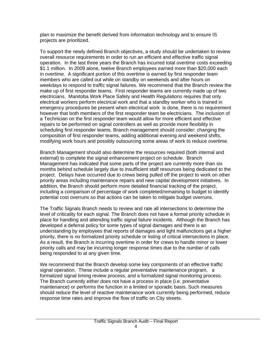plan to maximize the benefit derived from information technology and to ensure IS projects are prioritized.

To support the newly defined Branch objectives, a study should be undertaken to review overall resource requirements in order to run an efficient and effective traffic signal operation. In the last three years the Branch has incurred total overtime costs exceeding \$1.1 million. In 2009 alone, twelve Branch employees earned more than \$20,000 each in overtime. A significant portion of this overtime is earned by first responder team members who are called out while on standby on weekends and after hours on weekdays to respond to traffic signal failures. We recommend that the Branch review the make up of first responder teams. First responder teams are currently made up of two electricians. Manitoba Work Place Safety and Health Regulations requires that only electrical workers perform electrical work and that a standby worker who is trained in emergency procedures be present when electrical work is done, there is no requirement however that both members of the first responder team be electricians. The inclusion of a Technician on the first responder team would allow for more efficient and effective repairs to be performed on signal controllers as well as provide more flexibility in scheduling first responder teams. Branch management should consider: changing the composition of first responder teams, adding additional evening and weekend shifts, modifying work hours and possibly outsourcing some areas of work to reduce overtime.

Branch Management should also determine the resources required (both internal and external) to complete the signal enhancement project on schedule. Branch Management has indicated that some parts of the project are currently more than six months behind schedule largely due to insufficient staff resources being dedicated to the project. Delays have occurred due to crews being pulled off the project to work on other priority areas including maintenance repairs and new capital development initiatives. In addition, the Branch should perform more detailed financial tracking of the project, including a comparison of percentage of work completed/remaining to budget to identify potential cost overruns so that actions can be taken to mitigate budget overruns.

The Traffic Signals Branch needs to review and rate all intersections to determine the level of criticality for each signal. The Branch does not have a formal priority schedule in place for handling and attending traffic signal failure incidents. Although the Branch has developed a deferral policy for some types of signal damages and there is an understanding by employees that reports of damages and light malfunctions get a higher priority, there is no formalized priority schedule or listing of critical intersections in place. As a result, the Branch is incurring overtime in order for crews to handle minor or lower priority calls and may be incurring longer response times due to the number of calls being responded to at any given time.

We recommend that the Branch develop some key components of an effective traffic signal operation. These include a regular preventative maintenance program, a formalized signal timing review process, and a formalized signal monitoring process. The Branch currently either does not have a process in place (i.e. preventative maintenance) or performs the function in a limited or sporadic basis. Such measures should reduce the level of reactive maintenance work currently being performed, reduce response time rates and improve the flow of traffic on City streets.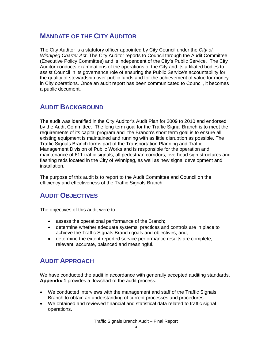# **MANDATE OF THE CITY AUDITOR**

The City Auditor is a statutory officer appointed by City Council under the *City of Winnipeg Charter Act*. The City Auditor reports to Council through the Audit Committee (Executive Policy Committee) and is independent of the City's Public Service. The City Auditor conducts examinations of the operations of the City and its affiliated bodies to assist Council in its governance role of ensuring the Public Service's accountability for the quality of stewardship over public funds and for the achievement of value for money in City operations. Once an audit report has been communicated to Council, it becomes a public document.

# **AUDIT BACKGROUND**

The audit was identified in the City Auditor's Audit Plan for 2009 to 2010 and endorsed by the Audit Committee. The long term goal for the Traffic Signal Branch is to meet the requirements of its capital program and the Branch's short term goal is to ensure all existing equipment is maintained and running with as little disruption as possible. The Traffic Signals Branch forms part of the Transportation Planning and Traffic Management Division of Public Works and is responsible for the operation and maintenance of 611 traffic signals, all pedestrian corridors, overhead sign structures and flashing reds located in the City of Winnipeg, as well as new signal development and installation.

The purpose of this audit is to report to the Audit Committee and Council on the efficiency and effectiveness of the Traffic Signals Branch.

# **AUDIT OBJECTIVES**

The objectives of this audit were to:

- assess the operational performance of the Branch;
- determine whether adequate systems, practices and controls are in place to achieve the Traffic Signals Branch goals and objectives; and,
- determine the extent reported service performance results are complete, relevant, accurate, balanced and meaningful.

# **AUDIT APPROACH**

We have conducted the audit in accordance with generally accepted auditing standards. **Appendix 1** provides a flowchart of the audit process.

- We conducted interviews with the management and staff of the Traffic Signals Branch to obtain an understanding of current processes and procedures.
- We obtained and reviewed financial and statistical data related to traffic signal operations.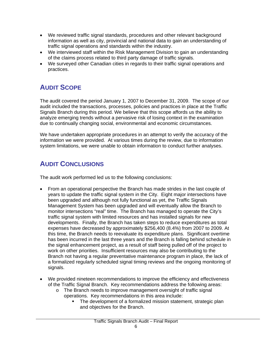- We reviewed traffic signal standards, procedures and other relevant background information as well as city, provincial and national data to gain an understanding of traffic signal operations and standards within the industry.
- We interviewed staff within the Risk Management Division to gain an understanding of the claims process related to third party damage of traffic signals.
- We surveyed other Canadian cities in regards to their traffic signal operations and practices.

# **AUDIT SCOPE**

The audit covered the period January 1, 2007 to December 31, 2009. The scope of our audit included the transactions, processes, policies and practices in place at the Traffic Signals Branch during this period. We believe that this scope affords us the ability to analyze emerging trends without a pervasive risk of losing context in the examination due to continually changing social, environmental and economic circumstances.

We have undertaken appropriate procedures in an attempt to verify the accuracy of the information we were provided. At various times during the review, due to information system limitations, we were unable to obtain information to conduct further analyses.

# **AUDIT CONCLUSIONS**

The audit work performed led us to the following conclusions:

- From an operational perspective the Branch has made strides in the last couple of years to update the traffic signal system in the City. Eight major intersections have been upgraded and although not fully functional as yet, the Traffic Signals Management System has been upgraded and will eventually allow the Branch to monitor intersections "real" time. The Branch has managed to operate the City's traffic signal system with limited resources and has installed signals for new developments. Finally, the Branch has taken steps to reduce expenditures as total expenses have decreased by approximately \$256,400 (8.4%) from 2007 to 2009. At this time, the Branch needs to reevaluate its expenditure plans. Significant overtime has been incurred in the last three years and the Branch is falling behind schedule in the signal enhancement project, as a result of staff being pulled off of the project to work on other priorities. Insufficient resources may also be contributing to the Branch not having a regular preventative maintenance program in place, the lack of a formalized regularly scheduled signal timing reviews and the ongoing monitoring of signals.
- We provided nineteen recommendations to improve the efficiency and effectiveness of the Traffic Signal Branch. Key recommendations address the following areas:
	- o The Branch needs to improve management oversight of traffic signal operations. Key recommendations in this area include:
		- The development of a formalized mission statement, strategic plan and objectives for the Branch.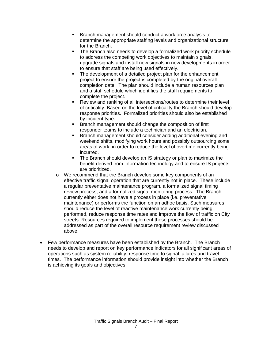- Branch management should conduct a workforce analysis to determine the appropriate staffing levels and organizational structure for the Branch.
- The Branch also needs to develop a formalized work priority schedule to address the competing work objectives to maintain signals, upgrade signals and install new signals in new developments in order to ensure that staff are being used effectively.
- The development of a detailed project plan for the enhancement project to ensure the project is completed by the original overall completion date. The plan should include a human resources plan and a staff schedule which identifies the staff requirements to complete the project.
- Review and ranking of all intersections/routes to determine their level of criticality. Based on the level of criticality the Branch should develop response priorities. Formalized priorities should also be established by incident type.
- **Branch management should change the composition of first** responder teams to include a technician and an electrician.
- Branch management should consider adding additional evening and weekend shifts, modifying work hours and possibly outsourcing some areas of work. in order to reduce the level of overtime currently being incurred.
- The Branch should develop an IS strategy or plan to maximize the benefit derived from information technology and to ensure IS projects are prioritized.
- o We recommend that the Branch develop some key components of an effective traffic signal operation that are currently not in place. These include a regular preventative maintenance program, a formalized signal timing review process, and a formalized signal monitoring process. The Branch currently either does not have a process in place (i.e. preventative maintenance) or performs the function on an adhoc basis. Such measures should reduce the level of reactive maintenance work currently being performed, reduce response time rates and improve the flow of traffic on City streets. Resources required to implement these processes should be addressed as part of the overall resource requirement review discussed above.
- Few performance measures have been established by the Branch. The Branch needs to develop and report on key performance indicators for all significant areas of operations such as system reliability, response time to signal failures and travel times. The performance information should provide insight into whether the Branch is achieving its goals and objectives.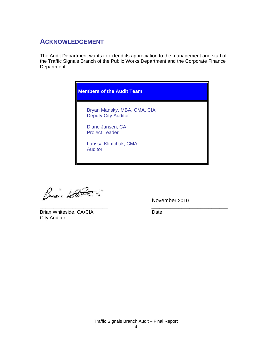# **ACKNOWLEDGEMENT**

The Audit Department wants to extend its appreciation to the management and staff of the Traffic Signals Branch of the Public Works Department and the Corporate Finance Department.



Busi With

\_\_\_\_\_\_\_\_\_\_\_\_\_\_\_\_\_\_\_\_\_\_\_\_\_ *\_\_\_\_\_\_\_\_\_\_\_\_\_\_\_\_\_\_\_\_\_\_\_\_\_\_\_\_* Brian Whiteside, CA.CIA Date City Auditor

November 2010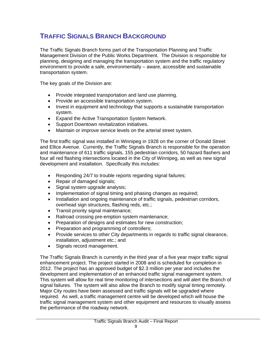# **TRAFFIC SIGNALS BRANCH BACKGROUND**

The Traffic Signals Branch forms part of the Transportation Planning and Traffic Management Division of the Public Works Department. The Division is responsible for planning, designing and managing the transportation system and the traffic regulatory environment to provide a safe, environmentally – aware, accessible and sustainable transportation system.

The key goals of the Division are:

- Provide integrated transportation and land use planning.
- Provide an accessible transportation system.
- Invest in equipment and technology that supports a sustainable transportation system.
- Expand the Active Transportation System Network.
- Support Downtown revitalization initiatives.
- Maintain or improve service levels on the arterial street system.

The first traffic signal was installed in Winnipeg in 1928 on the corner of Donald Street and Ellice Avenue. Currently, the Traffic Signals Branch is responsible for the operation and maintenance of 611 traffic signals, 155 pedestrian corridors, 50 hazard flashers and four all red flashing intersections located in the City of Winnipeg, as well as new signal development and installation. Specifically this includes:

- Responding 24/7 to trouble reports regarding signal failures;
- Repair of damaged signals;
- Signal system upgrade analysis;
- Implementation of signal timing and phasing changes as required;
- Installation and ongoing maintenance of traffic signals, pedestrian corridors, overhead sign structures, flashing reds, etc.;
- Transit priority signal maintenance;
- Railroad crossing pre-emption system maintenance;
- Preparation of designs and estimates for new construction;
- Preparation and programming of controllers;
- Provide services to other City departments in regards to traffic signal clearance, installation, adjustment etc.; and
- Signals record management.

The Traffic Signals Branch is currently in the third year of a five year major traffic signal enhancement project. The project started in 2008 and is scheduled for completion in 2012. The project has an approved budget of \$2.3 million per year and includes the development and implementation of an enhanced traffic signal management system. This system will allow for real time monitoring of intersections and will alert the Branch of signal failures. The system will also allow the Branch to modify signal timing remotely. Major City routes have been assessed and traffic signals will be upgraded where required. As well, a traffic management centre will be developed which will house the traffic signal management system and other equipment and resources to visually assess the performance of the roadway network.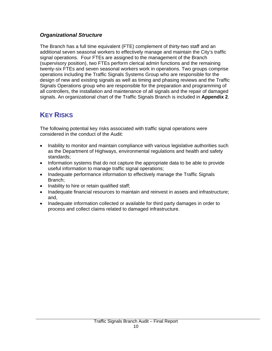### *Organizational Structure*

The Branch has a full time equivalent (FTE) complement of thirty-two staff and an additional seven seasonal workers to effectively manage and maintain the City's traffic signal operations. Four FTEs are assigned to the management of the Branch (supervisory position), two FTEs perform clerical admin functions and the remaining twenty-six FTEs and seven seasonal workers work in operations. Two groups comprise operations including the Traffic Signals Systems Group who are responsible for the design of new and existing signals as well as timing and phasing reviews and the Traffic Signals Operations group who are responsible for the preparation and programming of all controllers, the installation and maintenance of all signals and the repair of damaged signals. An organizational chart of the Traffic Signals Branch is included in **Appendix 2**.

# **KEY RISKS**

The following potential key risks associated with traffic signal operations were considered in the conduct of the Audit:

- Inability to monitor and maintain compliance with various legislative authorities such as the Department of Highways, environmental regulations and health and safety standards;
- Information systems that do not capture the appropriate data to be able to provide useful information to manage traffic signal operations;
- Inadequate performance information to effectively manage the Traffic Signals Branch;
- Inability to hire or retain qualified staff;
- Inadequate financial resources to maintain and reinvest in assets and infrastructure; and,
- Inadequate information collected or available for third party damages in order to process and collect claims related to damaged infrastructure.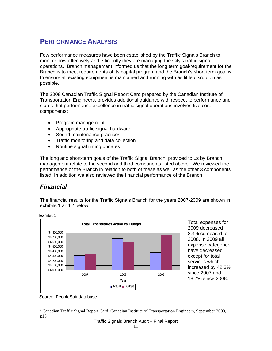# **PERFORMANCE ANALYSIS**

Few performance measures have been established by the Traffic Signals Branch to monitor how effectively and efficiently they are managing the City's traffic signal operations. Branch management informed us that the long term goal/requirement for the Branch is to meet requirements of its capital program and the Branch's short term goal is to ensure all existing equipment is maintained and running with as little disruption as possible.

The 2008 Canadian Traffic Signal Report Card prepared by the Canadian Institute of Transportation Engineers, provides additional guidance with respect to performance and states that performance excellence in traffic signal operations involves five core components:

- Program management
- Appropriate traffic signal hardware
- Sound maintenance practices
- Traffic monitoring and data collection
- Routine signal timing updates<sup>1</sup>

The long and short-term goals of the Traffic Signal Branch, provided to us by Branch management relate to the second and third components listed above. We reviewed the performance of the Branch in relation to both of these as well as the other 3 components listed. In addition we also reviewed the financial performance of the Branch

# *Financial*

Exhibit 1

The financial results for the Traffic Signals Branch for the years 2007-2009 are shown in exhibits 1 and 2 below:



Total expenses for 2009 decreased 8.4% compared to 2008. In 2009 all expense categories have decreased except for total services which increased by 42.3% since 2007 and 18.7% since 2008.

Source: PeopleSoft database

 $\overline{a}$ <sup>1</sup> Canadian Traffic Signal Report Card, Canadian Institute of Transportation Engineers, September 2008, p16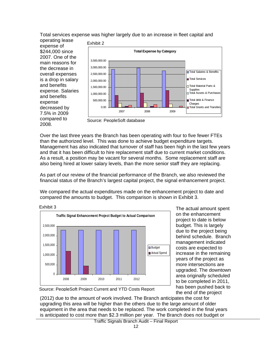Total services expense was higher largely due to an increase in fleet capital and operating lease

expense of \$244,000 since 2007. One of the main reasons for the decrease in overall expenses is a drop in salary and benefits expense. Salaries and benefits expense decreased by 7.5% in 2009 compared to 2008.



Source: PeopleSoft database

Over the last three years the Branch has been operating with four to five fewer FTEs than the authorized level. This was done to achieve budget expenditure targets. Management has also indicated that turnover of staff has been high in the last few years and that it has been difficult to hire replacement staff due to current market conditions. As a result, a position may be vacant for several months. Some replacement staff are also being hired at lower salary levels, than the more senior staff they are replacing.

As part of our review of the financial performance of the Branch, we also reviewed the financial status of the Branch's largest capital project, the signal enhancement project.

We compared the actual expenditures made on the enhancement project to date and compared the amounts to budget. This comparison is shown in Exhibit 3.



The actual amount spent on the enhancement project to date is below budget. This is largely due to the project being behind schedule. Branch management indicated costs are expected to increase in the remaining years of the project as more intersections are upgraded. The downtown area originally scheduled to be completed in 2011, has been pushed back to the end of the project



(2012) due to the amount of work involved. The Branch anticipates the cost for upgrading this area will be higher than the others due to the large amount of older equipment in the area that needs to be replaced. The work completed in the final years is anticipated to cost more than \$2.3 million per year. The Branch does not budget or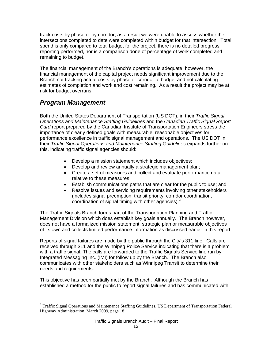track costs by phase or by corridor, as a result we were unable to assess whether the intersections completed to date were completed within budget for that intersection. Total spend is only compared to total budget for the project, there is no detailed progress reporting performed, nor is a comparison done of percentage of work completed and remaining to budget.

The financial management of the Branch's operations is adequate, however, the financial management of the capital project needs significant improvement due to the Branch not tracking actual costs by phase or corridor to budget and not calculating estimates of completion and work and cost remaining. As a result the project may be at risk for budget overruns.

# *Program Management*

Both the United States Department of Transportation (US DOT), in their *Traffic Signal Operations and Maintenance Staffing Guidelines* and the *Canadian Traffic Signal Report Card* report prepared by the Canadian Institute of Transportation Engineers stress the importance of clearly defined goals with measurable, reasonable objectives for performance excellence in traffic signal management and operations. The US DOT in their *Traffic Signal Operations and Maintenance Staffing Guidelines* expands further on this, indicating traffic signal agencies should:

- Develop a mission statement which includes objectives;
- Develop and review annually a strategic management plan;
- Create a set of measures and collect and evaluate performance data relative to these measures;
- Establish communications paths that are clear for the public to use; and
- Resolve issues and servicing requirements involving other stakeholders (includes signal preemption, transit priority, corridor coordination, coordination of signal timing with other agencies). $<sup>2</sup>$ </sup>

The Traffic Signals Branch forms part of the Transportation Planning and Traffic Management Division which does establish key goals annually. The Branch however, does not have a formalized mission statement, strategic plan or measurable objectives of its own and collects limited performance information as discussed earlier in this report.

Reports of signal failures are made by the public through the City's 311 line. Calls are received through 311 and the Winnipeg Police Service indicating that there is a problem with a traffic signal. The calls are forwarded to the Traffic Signals Service line run by Integrated Messaging Inc. (IMI) for follow up by the Branch. The Branch also communicates with other stakeholders such as Winnipeg Transit to determine their needs and requirements.

This objective has been partially met by the Branch. Although the Branch has established a method for the public to report signal failures and has communicated with

 $\overline{a}$ <sup>2</sup> Traffic Signal Operations and Maintenance Staffing Guidelines, US Department of Transportation Federal Highway Administration, March 2009, page 18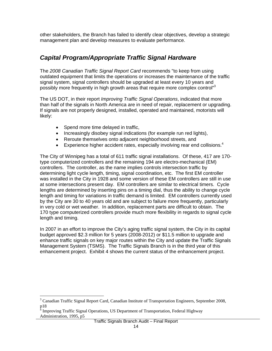other stakeholders, the Branch has failed to identify clear objectives, develop a strategic management plan and develop measures to evaluate performance.

# *Capital Program/Appropriate Traffic Signal Hardware*

The *2008 Canadian Traffic Signal Report Card* recommends "to keep from using outdated equipment that limits the operations or increases the maintenance of the traffic signal system, signal controllers should be upgraded at least every 10 years and possibly more frequently in high growth areas that require more complex control<sup>"3</sup>

The US DOT, in their report *Improving Traffic Signal Operations*, indicated that more than half of the signals in North America are in need of repair, replacement or upgrading. If signals are not properly designed, installed, operated and maintained, motorists will likely:

- Spend more time delayed in traffic,
- Increasingly disobey signal indications (for example run red lights),
- Reroute themselves onto adjacent neighborhood streets, and
- Experience higher accident rates, especially involving rear end collisions.<sup>4</sup>

The City of Winnipeg has a total of 611 traffic signal installations. Of these, 417 are 170 type computerized controllers and the remaining 194 are electro-mechanical (EM) controllers. The controller, as the name implies controls intersection traffic by determining light cycle length, timing, signal coordination, etc. The first EM controller was installed in the City in 1928 and some version of these EM controllers are still in use at some intersections present day. EM controllers are similar to electrical timers. Cycle lengths are determined by inserting pins on a timing dial, thus the ability to change cycle length and timing for variations in traffic demand is limited. EM controllers currently used by the City are 30 to 40 years old and are subject to failure more frequently, particularly in very cold or wet weather. In addition, replacement parts are difficult to obtain. The 170 type computerized controllers provide much more flexibility in regards to signal cycle length and timing.

In 2007 in an effort to improve the City's aging traffic signal system, the City in its capital budget approved \$2.3 million for 5 years (2008-2012) or \$11.5 million to upgrade and enhance traffic signals on key major routes within the City and update the Traffic Signals Management System (TSMS). The Traffic Signals Branch is in the third year of this enhancement project. Exhibit 4 shows the current status of the enhancement project.

 $\overline{a}$ 

<sup>&</sup>lt;sup>3</sup> Canadian Traffic Signal Report Card, Canadian Institute of Transportation Engineers, September 2008,

p18<br><sup>4</sup> Improving Traffic Signal Operations, US Department of Transportation, Federal Highway Administration, 1995, p5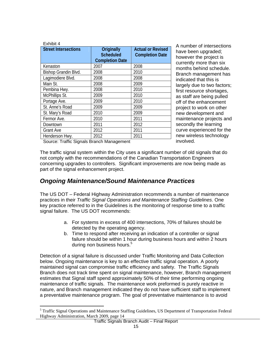| Exhibit 4                                 |                                                          |                                                    |
|-------------------------------------------|----------------------------------------------------------|----------------------------------------------------|
| <b>Street Intersections</b>               | Originally<br><b>Scheduled</b><br><b>Completion Date</b> | <b>Actual or Revised</b><br><b>Completion Date</b> |
| Kenaston                                  | 2007                                                     | 2008                                               |
| Bishop Grandin Blvd.                      | 2008                                                     | 2010                                               |
| Lagimodiere Blvd.                         | 2008                                                     | 2008                                               |
| Main St.                                  | 2008                                                     | 2009                                               |
| Pembina Hwy.                              | 2008                                                     | 2010                                               |
| McPhillips St.                            | 2009                                                     | 2010                                               |
| Portage Ave.                              | 2009                                                     | 2010                                               |
| St. Anne's Road                           | 2009                                                     | 2009                                               |
| St. Mary's Road                           | 2010                                                     | 2009                                               |
| Fermor Ave.                               | 2010                                                     | 2011                                               |
| Downtown                                  | 2011                                                     | 2012                                               |
| <b>Grant Ave</b>                          | 2012                                                     | 2011                                               |
| Henderson Hwy.                            | 2012                                                     | 2011                                               |
| Causar Traffic Cianale Dropels Monographe |                                                          |                                                    |

A number of intersections have been upgraded; however the project is currently more than six months behind schedule. Branch management has indicated that this is largely due to two factors; first resource shortages, as staff are being pulled off of the enhancement project to work on other new development and maintenance projects and secondly the learning curve experienced for the new wireless technology involved.

Source: Traffic Signals Branch Management

 $\overline{a}$ 

The traffic signal system within the City uses a significant number of old signals that do not comply with the recommendations of the Canadian Transportation Engineers concerning upgrades to controllers. Significant improvements are now being made as part of the signal enhancement project.

### *Ongoing Maintenance/Sound Maintenance Practices*

The US DOT – Federal Highway Administration recommends a number of maintenance practices in their *Traffic Signal Operations and Maintenance Staffing Guidelines*. One key practice referred to in the Guidelines is the monitoring of response time to a traffic signal failure. The US DOT recommends:

- a. For systems in excess of 400 intersections, 70% of failures should be detected by the operating agency.
- b. Time to respond after receiving an indication of a controller or signal failure should be within 1 hour during business hours and within 2 hours during non business hours.<sup>5</sup>

Detection of a signal failure is discussed under Traffic Monitoring and Data Collection below. Ongoing maintenance is key to an effective traffic signal operation. A poorly maintained signal can compromise traffic efficiency and safety. The Traffic Signals Branch does not track time spent on signal maintenance, however, Branch management estimates that Signal staff spend approximately 50% of their time performing ongoing maintenance of traffic signals. The maintenance work preformed is purely reactive in nature, and Branch management indicated they do not have sufficient staff to implement a preventative maintenance program. The goal of preventative maintenance is to avoid

<sup>&</sup>lt;sup>5</sup> Traffic Signal Operations and Maintenance Staffing Guidelines, US Department of Transportation Federal Highway Administration, March 2009, page 14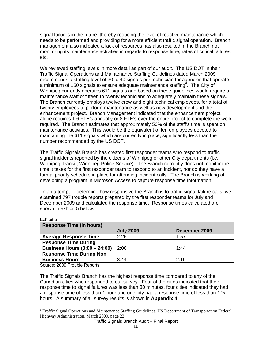signal failures in the future, thereby reducing the level of reactive maintenance which needs to be performed and providing for a more efficient traffic signal operation. Branch management also indicated a lack of resources has also resulted in the Branch not monitoring its maintenance activities in regards to response time, rates of critical failures, etc.

We reviewed staffing levels in more detail as part of our audit. The US DOT in their Traffic Signal Operations and Maintenance Staffing Guidelines dated March 2009 recommends a staffing level of 30 to 40 signals per technician for agencies that operate a minimum of 150 signals to ensure adequate maintenance staffing $^6$ . The City of Winnipeg currently operates 611 signals and based on these guidelines would require a maintenance staff of fifteen to twenty technicians to adequately maintain these signals. The Branch currently employs twelve crew and eight technical employees, for a total of twenty employees to perform maintenance as well as new development and the enhancement project. Branch Management indicated that the enhancement project alone requires 1.6 FTE's annually or 8 FTE's over the entire project to complete the work required. The Branch estimates that approximately 50% of the staff's time is spent on maintenance activities. This would be the equivalent of ten employees devoted to maintaining the 611 signals which are currently in place, significantly less than the number recommended by the US DOT.

The Traffic Signals Branch has created first responder teams who respond to traffic signal incidents reported by the citizens of Winnipeg or other City departments (i.e. Winnipeg Transit, Winnipeg Police Service). The Branch currently does not monitor the time it takes for the first responder team to respond to an incident, nor do they have a formal priority schedule in place for attending incident calls. The Branch is working at developing a program in Microsoft Access to capture response time information

 In an attempt to determine how responsive the Branch is to traffic signal failure calls, we examined 797 trouble reports prepared by the first responder teams for July and December 2009 and calculated the response time. Response times calculated are shown in exhibit 5 below:

| <b>Response Time (in hours)</b>      |                  |               |  |
|--------------------------------------|------------------|---------------|--|
|                                      | <b>July 2009</b> | December 2009 |  |
| <b>Average Response Time</b>         | 2:26             | 1:57          |  |
| <b>Response Time During</b>          |                  |               |  |
| <b>Business Hours (8:00 - 24:00)</b> | 2:00             | 1:44          |  |
| <b>Response Time During Non</b>      |                  |               |  |
| <b>Business Hours</b>                | 3:44             | 2:19          |  |

Exhibit 5

 $\overline{a}$ 

Source: 2009 Trouble Reports

The Traffic Signals Branch has the highest response time compared to any of the Canadian cities who responded to our survey. Four of the cities indicated that their response time to signal failures was less than 30 minutes, four cities indicated they had a response time of less than 1 hour and one city had a response time of less than 1  $\frac{1}{2}$ hours. A summary of all survey results is shown in **Appendix 4.**

<sup>&</sup>lt;sup>6</sup> Traffic Signal Operations and Maintenance Staffing Guidelines, US Department of Transportation Federal Highway Administration, March 2009, page 22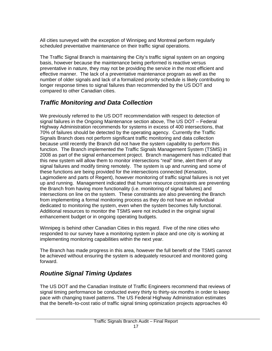All cities surveyed with the exception of Winnipeg and Montreal perform regularly scheduled preventative maintenance on their traffic signal operations.

The Traffic Signal Branch is maintaining the City's traffic signal system on an ongoing basis, however because the maintenance being performed is reactive versus preventative in nature, they may not be providing the service in the most efficient and effective manner. The lack of a preventative maintenance program as well as the number of older signals and lack of a formalized priority schedule is likely contributing to longer response times to signal failures than recommended by the US DOT and compared to other Canadian cities.

# *Traffic Monitoring and Data Collection*

We previously referred to the US DOT recommendation with respect to detection of signal failures in the Ongoing Maintenance section above, The US DOT – Federal Highway Administration recommends for systems in excess of 400 intersections, that 70% of failures should be detected by the operating agency. Currently the Traffic Signals Branch does not perform significant traffic monitoring and data collection because until recently the Branch did not have the system capability to perform this function. The Branch implemented the Traffic Signals Management System (TSMS) in 2008 as part of the signal enhancement project. Branch management has indicated that this new system will allow them to monitor intersections "real" time, alert them of any signal failures and modify timing remotely. The system is up and running and some of these functions are being provided for the intersections connected (Kenaston, Lagimodiere and parts of Regent), however monitoring of traffic signal failures is not yet up and running. Management indicated that human resource constraints are preventing the Branch from having more functionality (i.e. monitoring of signal failures) and intersections on line on the system. These constraints are also preventing the Branch from implementing a formal monitoring process as they do not have an individual dedicated to monitoring the system, even when the system becomes fully functional. Additional resources to monitor the TSMS were not included in the original signal enhancement budget or in ongoing operating budgets.

Winnipeg is behind other Canadian Cities in this regard. Five of the nine cities who responded to our survey have a monitoring system in place and one city is working at implementing monitoring capabilities within the next year.

The Branch has made progress in this area, however the full benefit of the TSMS cannot be achieved without ensuring the system is adequately resourced and monitored going forward.

# *Routine Signal Timing Updates*

The US DOT and the Canadian Institute of Traffic Engineers recommend that reviews of signal timing performance be conducted every thirty to thirty-six months in order to keep pace with changing travel patterns. The US Federal Highway Administration estimates that the benefit–to-cost ratio of traffic signal timing optimization projects approaches 40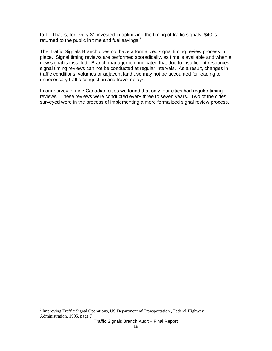to 1. That is, for every \$1 invested in optimizing the timing of traffic signals, \$40 is returned to the public in time and fuel savings. $<sup>7</sup>$ </sup>

The Traffic Signals Branch does not have a formalized signal timing review process in place. Signal timing reviews are performed sporadically, as time is available and when a new signal is installed. Branch management indicated that due to insufficient resources signal timing reviews can not be conducted at regular intervals. As a result, changes in traffic conditions, volumes or adjacent land use may not be accounted for leading to unnecessary traffic congestion and travel delays.

In our survey of nine Canadian cities we found that only four cities had regular timing reviews. These reviews were conducted every three to seven years. Two of the cities surveyed were in the process of implementing a more formalized signal review process.

<sup>&</sup>lt;sup>7</sup> Improving Traffic Signal Operations, US Department of Transportation , Federal Highway Administration, 1995, page 7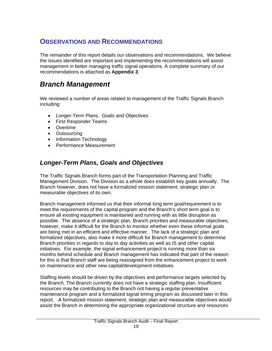# **OBSERVATIONS AND RECOMMENDATIONS**

The remainder of this report details our observations and recommendations. We believe the issues identified are important and implementing the recommendations will assist management in better managing traffic signal operations. A complete summary of our recommendations is attached as **Appendix 3**.

# *Branch Management*

We reviewed a number of areas related to management of the Traffic Signals Branch including:

- Longer-Term Plans, Goals and Objectives
- First Responder Teams
- Overtime
- Outsourcing
- Information Technology
- Performance Measurement

# *Longer-Term Plans, Goals and Objectives*

The Traffic Signals Branch forms part of the Transportation Planning and Traffic Management Division. The Division as a whole does establish key goals annually. The Branch however, does not have a formalized mission statement, strategic plan or measurable objectives of its own.

Branch management informed us that their informal long term goal/requirement is to meet the requirements of the capital program and the Branch's short term goal is to ensure all existing equipment is maintained and running with as little disruption as possible. The absence of a strategic plan, Branch priorities and measurable objectives, however, make it difficult for the Branch to monitor whether even these informal goals are being met in an efficient and effective manner. The lack of a strategic plan and formalized objectives, also make it more difficult for Branch management to determine Branch priorities in regards to day to day activities as well as IS and other capital initiatives. For example, the signal enhancement project is running more than six months behind schedule and Branch management has indicated that part of the reason for this is that Branch staff are being reassigned from the enhancement project to work on maintenance and other new capital/development initiatives.

Staffing levels should be driven by the objectives and performance targets selected by the Branch. The Branch currently does not have a strategic staffing plan. Insufficient resources may be contributing to the Branch not having a regular preventative maintenance program and a formalized signal timing program as discussed later in this report. A formalized mission statement, strategic plan and measurable objectives would assist the Branch in determining the appropriate organizational structure and resources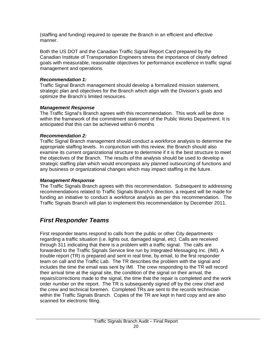(staffing and funding) required to operate the Branch in an efficient and effective manner.

Both the US DOT and the Canadian Traffic Signal Report Card prepared by the Canadian Institute of Transportation Engineers stress the importance of clearly defined goals with measurable, reasonable objectives for performance excellence in traffic signal management and operations.

#### *Recommendation 1:*

Traffic Signal Branch management should develop a formalized mission statement, strategic plan and objectives for the Branch which align with the Division's goals and optimize the Branch's limited resources.

### *Management Response*

The Traffic Signal's Branch agrees with this recommendation. This work will be done within the framework of the commitment statement of the Public Works Department. It is anticipated that this can be achieved within 6 months

### *Recommendation 2:*

Traffic Signal Branch management should conduct a workforce analysis to determine the appropriate staffing levels. In conjunction with this review, the Branch should also examine its current organizational structure to determine if it is the best structure to meet the objectives of the Branch. The results of the analysis should be used to develop a strategic staffing plan which would encompass any planned outsourcing of functions and any business or organizational changes which may impact staffing in the future.

### *Management Response*

The Traffic Signals Branch agrees with this recommendation. Subsequent to addressing recommendations related to Traffic Signals Branch's direction, a request will be made for funding an initiative to conduct a workforce analysis as per this recommendation. The Traffic Signals Branch will plan to implement this recommendation by December 2011.

# *First Responder Teams*

First responder teams respond to calls from the public or other City departments regarding a traffic situation (i.e. lights out, damaged signal, etc). Calls are received through 311 indicating that there is a problem with a traffic signal. The calls are forwarded to the Traffic Signals Service line run by Integrated Messaging Inc. (IMI). A trouble report (TR) is prepared and sent in real time, by email, to the first responder team on call and the Traffic Lab. The TR describes the problem with the signal and includes the time the email was sent by IMI. The crew responding to the TR will record their arrival time at the signal site, the condition of the signal on their arrival, the repairs/corrections made to the signal, the time that the repair is completed and the work order number on the report. The TR is subsequently signed off by the crew chief and the crew and technical foremen. Completed TRs are sent to the records technician within the Traffic Signals Branch. Copies of the TR are kept in hard copy and are also scanned for electronic filing.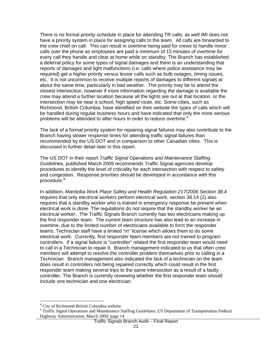There is no formal priority schedule in place for attending TR calls; as well IMI does not have a priority system in place for assigning calls to the team. All calls are forwarded to the crew chief on call. This can result in overtime being paid for crews to handle minor calls over the phone as employees are paid a minimum of 15 minutes of overtime for every call they handle and clear at home while on standby. The Branch has established a deferral policy for some types of signal damages and there is an understanding that reports of damages and light malfunctions (i.e. calls where police assistance may be required) get a higher priority versus lesser calls such as bulb outages, timing issues, etc. It is not uncommon to receive multiple reports of damages to different signals at about the same time, particularly in bad weather. The priority may be to attend the closest intersection, however if more information regarding the damage is available the crew may attend a further location because all the lights are out at that location, or the intersection may be near a school, high speed route, etc. Some cities, such as Richmond, British Columbia, have identified on their website the types of calls which will be handled during regular business hours and have indicated that only the more serious problems will be attended to after hours in order to reduce overtime.<sup>8</sup>

The lack of a formal priority system for repairing signal failures may also contribute to the Branch having slower response times for attending traffic signal failures than recommended by the US DOT and in comparison to other Canadian cities. This is discussed in further detail later in this report.

The US DOT in their report *Traffic Signal Operations and Maintenance Staffing Guidelines*, published March 2009 recommends Traffic Signal agencies develop procedures to identify the level of criticality for each intersection with respect to safety and congestion. Response priorities should be developed in accordance with this procedure.<sup>9</sup>

In addition, *Manitoba Work Place Safety and Health Regulation 217/2006 Section 38.4* requires that only electrical workers perform electrical work, section 38.14 (2) also requires that a standby worker who is trained in emergency response be present when electrical work is done. The regulations do not require that the standby worker be an electrical worker. The Traffic Signals Branch currently has two electricians making up the first responder team. The current team structure has also lead to an increase in overtime, due to the limited number of electricians available to form the responder teams. Technician staff have a limited "m" license which allows them to do some electrical work. Currently, first responder team members are not trained to program controllers. If a signal failure is "controller" related the first responder team would need to call in a Technician to repair it. Branch management indicated to us that often crew members will attempt to resolve the controller problem themselves prior to calling in a Technician. Branch management also indicated the lack of a technician on the team does result in controllers not being repaired correctly which could result in the first responder team making several trips to the same intersection as a result of a faulty controller. The Branch is currently reviewing whether the first responder team should include one technician and one electrician.

 $\overline{a}$ 

<sup>&</sup>lt;sup>8</sup> City of Richmond British Columbia website

<sup>&</sup>lt;sup>9</sup> Traffic Signal Operations and Maintenance Staffing Guidelines, US Department of Transportation Federal Highway Administration, March 2009, page 14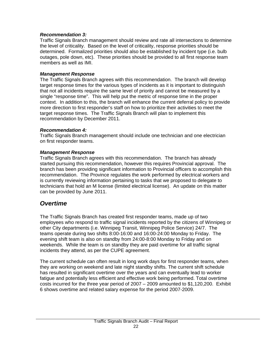#### *Recommendation 3:*

Traffic Signals Branch management should review and rate all intersections to determine the level of criticality. Based on the level of criticality, response priorities should be determined. Formalized priorities should also be established by incident type (i.e. bulb outages, pole down, etc). These priorities should be provided to all first response team members as well as IMI.

#### *Management Response*

The Traffic Signals Branch agrees with this recommendation. The branch will develop target response times for the various types of incidents as it is important to distinguish that not all incidents require the same level of priority and cannot be measured by a single "response time". This will help put the metric of response time in the proper context. In addition to this, the branch will enhance the current deferral policy to provide more direction to first responder's staff on how to prioritize their activities to meet the target response times. The Traffic Signals Branch will plan to implement this recommendation by December 2011.

#### *Recommendation 4:*

Traffic Signals Branch management should include one technician and one electrician on first responder teams.

#### *Management Response*

Traffic Signals Branch agrees with this recommendation. The branch has already started pursuing this recommendation, however this requires Provincial approval. The branch has been providing significant information to Provincial officers to accomplish this recommendation. The Province regulates the work performed by electrical workers and is currently reviewing information pertaining to tasks that we proposed to delegate to technicians that hold an M license (limited electrical license). An update on this matter can be provided by June 2011.

# *Overtime*

The Traffic Signals Branch has created first responder teams, made up of two employees who respond to traffic signal incidents reported by the citizens of Winnipeg or other City departments (i.e. Winnipeg Transit, Winnipeg Police Service) 24/7. The teams operate during two shifts 8:00-16:00 and 16:00-24:00 Monday to Friday. The evening shift team is also on standby from 24:00-8:00 Monday to Friday and on weekends. While the team is on standby they are paid overtime for all traffic signal incidents they attend, as per the CUPE agreement.

The current schedule can often result in long work days for first responder teams, when they are working on weekend and late night standby shifts. The current shift schedule has resulted in significant overtime over the years and can eventually lead to worker fatigue and potentially less efficient and effective work being performed. Total overtime costs incurred for the three year period of 2007 – 2009 amounted to \$1,120,200. Exhibit 6 shows overtime and related salary expense for the period 2007-2009.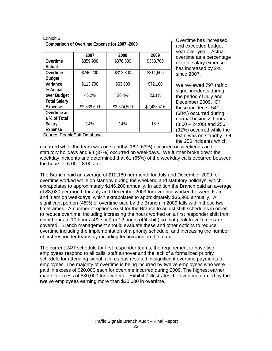| Exhibit 6                                     |             |             |             |  |
|-----------------------------------------------|-------------|-------------|-------------|--|
| Comparison of Overtime Expense for 2007 -2009 |             |             |             |  |
|                                               |             |             |             |  |
|                                               | 2007        | 2008        | 2009        |  |
| Overtime                                      | \$359,900   | \$376,600   | \$383,700   |  |
| Actual                                        |             |             |             |  |
| Overtime                                      | \$246,200   | \$312,800   | \$311,600   |  |
| <b>Budget</b>                                 |             |             |             |  |
| Variance                                      | \$113,700   | \$63,800    | \$72,100    |  |
| % Actual                                      |             |             |             |  |
| over Budget                                   | 46.2%       | 20.4%       | 23.1%       |  |
| <b>Total Salary</b>                           |             |             |             |  |
| <b>Expense</b>                                | \$2,539,600 | \$2,624,500 | \$2,435,416 |  |
| Overtime as                                   |             |             |             |  |
| a % of Total                                  |             |             |             |  |
| Salary                                        | 14%         | 14%         | 16%         |  |
| <b>Expense</b>                                |             |             |             |  |

Overtime has increased and exceeded budget year over year. Actual overtime as a percentage of total salary expense has increased by 2% since 2007.

We reviewed 797 traffic signal incidents during the period of July and December 2009. Of these incidents, 541 (68%) occurred during normal business hours (8:00 – 24:00) and 256 (32%) occurred while the team was on standby. Of the 256 incidents which

Source: PeopleSoft Database

occurred while the team was on standby, 162 (63%) occurred on weekends and statutory holidays and 94 (37%) occurred on weekdays. We further broke down the weekday incidents and determined that 61 (65%) of the weekday calls occurred between the hours of  $6:00 - 8:00$  am.

The Branch paid an average of \$12,180 per month for July and December 2009 for overtime worked while on standby during the weekend and statutory holidays, which extrapolates to approximately \$146,200 annually. In addition the Branch paid an average of \$3,080 per month for July and December 2009 for overtime worked between 6 am and 8 am on weekdays, which extrapolates to approximately \$36,960 annually. A significant portion (48%) of overtime paid by the Branch in 2009 falls within these two timeframes. A number of options exist for the Branch to adjust shift schedules in order to reduce overtime, including increasing the hours worked on a first responder shift from eight hours to 10 hours (4/2 shift) or 12 hours (4/4 shift) so that peak travel times are covered. Branch management should evaluate these and other options to reduce overtime including the implementation of a priority schedule and increasing the number of first responder teams by including technicians on the team.

The current 24/7 schedule for first responder teams, the requirement to have two employees respond to all calls, staff turnover and the lack of a formalized priority schedule for attending signal failures has resulted in significant overtime payments to employees. The majority of overtime is being incurred by twelve employees who were paid in excess of \$20,000 each for overtime incurred during 2009. The highest earner made in excess of \$30,000 for overtime. Exhibit 7 illustrates the overtime earned by the twelve employees earning more than \$20,000 in overtime.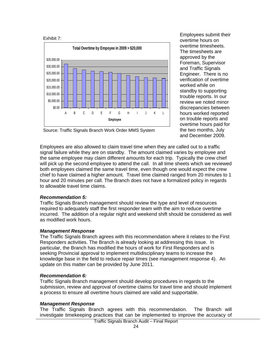



Employees submit their overtime hours on overtime timesheets. The timesheets are approved by the Foreman, Supervisor and Traffic Signals Engineer. There is no verification of overtime worked while on standby to supporting trouble reports. In our review we noted minor discrepancies between hours worked reported on trouble reports and overtime hours paid for the two months, July and December 2009.

Source: Traffic Signals Branch Work Order MMS System

Employees are also allowed to claim travel time when they are called out to a traffic signal failure while they are on standby. The amount claimed varies by employee and the same employee may claim different amounts for each trip. Typically the crew chief will pick up the second employee to attend the call. In all time sheets which we reviewed both employees claimed the same travel time, even though one would expect the crew chief to have claimed a higher amount. Travel time claimed ranged from 20 minutes to 1 hour and 20 minutes per call. The Branch does not have a formalized policy in regards to allowable travel time claims.

#### *Recommendation 5:*

Traffic Signals Branch management should review the type and level of resources required to adequately staff the first responder team with the aim to reduce overtime incurred. The addition of a regular night and weekend shift should be considered as well as modified work hours.

#### *Management Response*

The Traffic Signals Branch agrees with this recommendation where it relates to the First Responders activities. The Branch is already looking at addressing this issue. In particular, the Branch has modified the hours of work for First Responders and is seeking Provincial approval to implement multidisciplinary teams to increase the knowledge base in the field to reduce repair times (see management response 4). An update on this matter can be provided by June 2011.

#### *Recommendation 6:*

Traffic Signals Branch management should develop procedures in regards to the submission, review and approval of overtime claims for travel time and should implement a process to ensure all overtime hours claimed are valid and supportable.

#### *Management Response*

The Traffic Signals Branch agrees with this recommendation. The Branch will investigate timekeeping practices that can be implemented to improve the accuracy of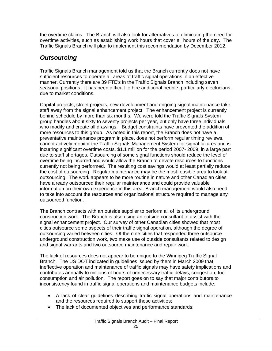the overtime claims. The Branch will also look for alternatives to eliminating the need for overtime activities, such as establishing work hours that cover all hours of the day. The Traffic Signals Branch will plan to implement this recommendation by December 2012.

# *Outsourcing*

Traffic Signals Branch management told us that the Branch currently does not have sufficient resources to operate all areas of traffic signal operations in an effective manner. Currently there are 39 FTE's in the Traffic Signals Branch including seven seasonal positions. It has been difficult to hire additional people, particularly electricians, due to market conditions.

Capital projects, street projects, new development and ongoing signal maintenance take staff away from the signal enhancement project. The enhancement project is currently behind schedule by more than six months. We were told the Traffic Signals System group handles about sixty to seventy projects per year, but only have three individuals who modify and create all drawings. Budget constraints have prevented the addition of more resources to this group. As noted in this report, the Branch does not have a preventative maintenance program in place, does not perform regular timing reviews, cannot actively monitor the Traffic Signals Management System for signal failures and is incurring significant overtime costs, \$1.1 million for the period 2007- 2009, in a large part due to staff shortages. Outsourcing of some signal functions should reduce the level of overtime being incurred and would allow the Branch to devote resources to functions currently not being performed. The resulting cost savings would at least partially reduce the cost of outsourcing. Regular maintenance may be the most feasible area to look at outsourcing. The work appears to be more routine in nature and other Canadian cities have already outsourced their regular maintenance and could provide valuable information on their own experience in this area. Branch management would also need to take into account the resources and organizational structure required to manage any outsourced function.

The Branch contracts with an outside supplier to perform all of its underground construction work. The Branch is also using an outside consultant to assist with the signal enhancement project. Our survey of other Canadian cities showed that most cities outsource some aspects of their traffic signal operation, although the degree of outsourcing varied between cities. Of the nine cities that responded three outsource underground construction work, two make use of outside consultants related to design and signal warrants and two outsource maintenance and repair work.

The lack of resources does not appear to be unique to the Winnipeg Traffic Signal Branch. The US DOT indicated in guidelines issued by them in March 2009 that ineffective operation and maintenance of traffic signals may have safety implications and contributes annually to millions of hours of unnecessary traffic delays, congestion, fuel consumption and air pollution. The report goes on to say that major contributors to inconsistency found in traffic signal operations and maintenance budgets include:

- A lack of clear guidelines describing traffic signal operations and maintenance and the resources required to support these activities;
- The lack of documented objectives and performance standards;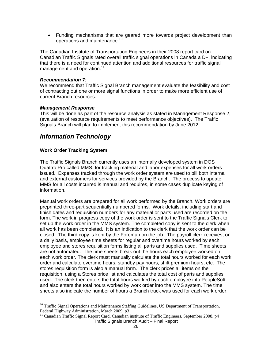• Funding mechanisms that are geared more towards project development than operations and maintenance.<sup>10</sup>

The Canadian Institute of Transportation Engineers in their 2008 report card on Canadian Traffic Signals rated overall traffic signal operations in Canada a D+, indicating that there is a need for continued attention and additional resources for traffic signal management and operation.<sup>11</sup>

#### *Recommendation 7:*

We recommend that Traffic Signal Branch management evaluate the feasibility and cost of contracting out one or more signal functions in order to make more efficient use of current Branch resources.

#### *Management Response*

This will be done as part of the resource analysis as stated in Management Response 2, (evaluation of resource requirements to meet performance objectives). The Traffic Signals Branch will plan to implement this recommendation by June 2012.

### *Information Technology*

#### **Work Order Tracking System**

 $\overline{a}$ 

The Traffic Signals Branch currently uses an internally developed system in DOS Quattro Pro called MMS, for tracking material and labor expenses for all work orders issued. Expenses tracked through the work order system are used to bill both internal and external customers for services provided by the Branch. The process to update MMS for all costs incurred is manual and requires, in some cases duplicate keying of information.

Manual work orders are prepared for all work performed by the Branch. Work orders are preprinted three-part sequentially numbered forms. Work details, including start and finish dates and requisition numbers for any material or parts used are recorded on the form. The work in progress copy of the work order is sent to the Traffic Signals Clerk to set up the work order in the MMS system. The completed copy is sent to the clerk when all work has been completed. It is an indication to the clerk that the work order can be closed. The third copy is kept by the Foreman on the job. The payroll clerk receives, on a daily basis, employee time sheets for regular and overtime hours worked by each employee and stores requisition forms listing all parts and supplies used. Time sheets are not automated. The time sheets break out the hours each employee worked on each work order. The clerk must manually calculate the total hours worked for each work order and calculate overtime hours, standby pay hours, shift premium hours, etc. The stores requisition form is also a manual form. The clerk prices all items on the requisition, using a Stores price list and calculates the total cost of parts and supplies used. The clerk then enters the total hours worked by each employee into PeopleSoft and also enters the total hours worked by work order into the MMS system. The time sheets also indicate the number of hours a Branch truck was used for each work order.

<sup>&</sup>lt;sup>10</sup> Traffic Signal Operations and Maintenance Staffing Guidelines, US Department of Transportation, Federal Highway Administration, March 2009, p3

Traffic Signals Branch Audit – Final Report <sup>11</sup> Canadian Traffic Signal Report Card, Canadian institute of Traffic Engineers, September 2008, p4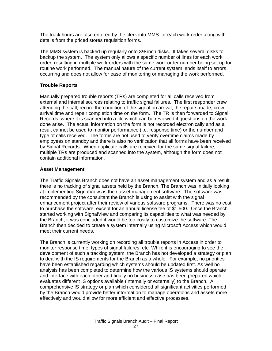The truck hours are also entered by the clerk into MMS for each work order along with details from the priced stores requisition forms.

The MMS system is backed up regularly onto 3½ inch disks. It takes several disks to backup the system. The system only allows a specific number of lines for each work order, resulting in multiple work orders with the same work order number being set up for routine work performed. The manual nature of the current system lends itself to errors occurring and does not allow for ease of monitoring or managing the work performed.

### **Trouble Reports**

Manually prepared trouble reports (TRs) are completed for all calls received from external and internal sources relating to traffic signal failures. The first responder crew attending the call, record the condition of the signal on arrival, the repairs made, crew arrival time and repair completion time on the form. The TR is then forwarded to Signal Records, where it is scanned into a file which can be reviewed if questions on the work done arise. The actual information on the form is not recorded electronically and as a result cannot be used to monitor performance (i.e. response time) or the number and type of calls received. The forms are not used to verify overtime claims made by employees on standby and there is also no verification that all forms have been received by Signal Records. When duplicate calls are received for the same signal failure, multiple TRs are produced and scanned into the system, although the form does not contain additional information.

### **Asset Management**

The Traffic Signals Branch does not have an asset management system and as a result, there is no tracking of signal assets held by the Branch. The Branch was initially looking at implementing SignalView as their asset management software. The software was recommended by the consultant the Branch is using to assist with the signal enhancement project after their review of various software programs. There was no cost to purchase the software, except for an annual license fee of \$1,500. Once the Branch started working with SignalView and comparing its capabilities to what was needed by the Branch, it was concluded it would be too costly to customize the software. The Branch then decided to create a system internally using Microsoft Access which would meet their current needs.

The Branch is currently working on recording all trouble reports in Access in order to monitor response time, types of signal failures, etc. While it is encouraging to see the development of such a tracking system, the Branch has not developed a strategy or plan to deal with the IS requirements for the Branch as a whole. For example, no priorities have been established regarding which systems should be updated first. As well no analysis has been completed to determine how the various IS systems should operate and interface with each other and finally no business case has been prepared which evaluates different IS options available (internally or externally) to the Branch. A comprehensive IS strategy or plan which considered all significant activities performed by the Branch would provide better information to manage operations and assets more effectively and would allow for more efficient and effective processes.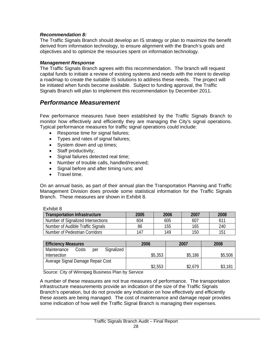#### *Recommendation 8:*

The Traffic Signals Branch should develop an IS strategy or plan to maximize the benefit derived from information technology, to ensure alignment with the Branch's goals and objectives and to optimize the resources spent on information technology.

#### *Management Response*

The Traffic Signals Branch agrees with this recommendation. The branch will request capital funds to initiate a review of existing systems and needs with the intent to develop a roadmap to create the suitable IS solutions to address these needs. The project will be initiated when funds become available. Subject to funding approval, the Traffic Signals Branch will plan to implement this recommendation by December 2011.

### *Performance Measurement*

Few performance measures have been established by the Traffic Signals Branch to monitor how effectively and efficiently they are managing the City's signal operations. Typical performance measures for traffic signal operations could include:

- Response time for signal failures;
- Types and rates of signal failures;
- System down and up times;
- Staff productivity;
- Signal failures detected real time:
- Number of trouble calls, handled/received;
- Signal before and after timing runs; and
- Travel time.

On an annual basis, as part of their annual plan the Transportation Planning and Traffic Management Division does provide some statistical information for the Traffic Signals Branch. These measures are shown in Exhibit 8.

#### Exhibit 8

| <b>Transportation Infrastructure</b> | 2005 | 2006 | 2007 | 2008 |
|--------------------------------------|------|------|------|------|
| Number of Signalized Intersections   | 604  | 605  | 607  |      |
| Number of Audible Traffic Signals    | 86   | 155  | 165  | 240  |
| Number of Pedestrian Corridors       | 147  | 149  | 150  | 151  |

| <b>Efficiency Measures</b>                | 2006    | 2007    | 2008      |
|-------------------------------------------|---------|---------|-----------|
| Signalized<br>Maintenance<br>Costs<br>per |         |         |           |
| <b>Intersection</b>                       | \$5,353 | \$5,186 | \$5,506   |
| Average Signal Damage Repair Cost         |         |         |           |
|                                           | \$2,553 | \$2,679 | $$3,18^1$ |

Source: City of Winnipeg Business Plan by Service

A number of these measures are not true measures of performance. The transportation infrastructure measurements provide an indication of the size of the Traffic Signals Branch's operation, but do not provide any indication on how effectively and efficiently these assets are being managed. The cost of maintenance and damage repair provides some indication of how well the Traffic Signal Branch is managing their expenses.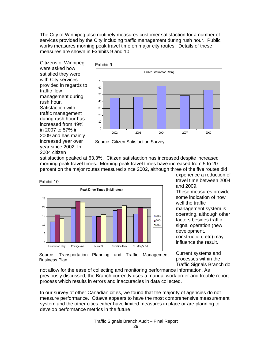The City of Winnipeg also routinely measures customer satisfaction for a number of services provided by the City including traffic management during rush hour. Public works measures morning peak travel time on major city routes. Details of these measures are shown in Exhibits 9 and 10:

Citizens of Winnipeg were asked how satisfied they were with City services provided in regards to traffic flow management during rush hour. Satisfaction with traffic management during rush hour has increased from 49% in 2007 to 57% in 2009 and has mainly increased year over year since 2002. In 2004 citizen

Business Plan





satisfaction peaked at 63.3%. Citizen satisfaction has increased despite increased morning peak travel times. Morning peak travel times have increased from 5 to 20 percent on the major routes measured since 2002, although three of the five routes did



experience a reduction of travel time between 2004 and 2009.

These measures provide some indication of how well the traffic management system is operating, although other factors besides traffic signal operation (new development, construction, etc) may influence the result.

Current systems and processes within the Traffic Signals Branch do

not allow for the ease of collecting and monitoring performance information. As previously discussed, the Branch currently uses a manual work order and trouble report process which results in errors and inaccuracies in data collected.

In our survey of other Canadian cities, we found that the majority of agencies do not measure performance. Ottawa appears to have the most comprehensive measurement system and the other cities either have limited measures in place or are planning to develop performance metrics in the future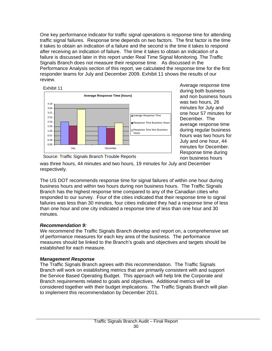One key performance indicator for traffic signal operations is response time for attending traffic signal failures. Response time depends on two factors. The first factor is the time it takes to obtain an indication of a failure and the second is the time it takes to respond after receiving an indication of failure. The time it takes to obtain an indication of a failure is discussed later in this report under Real Time Signal Monitoring. The Traffic Signals Branch does not measure their response time. As discussed in the Performance Analysis section of this report, we calculated the response time for the first responder teams for July and December 2009. Exhibit 11 shows the results of our review.





Average response time during both business and non business hours was two hours, 26 minutes for July and one hour 57 minutes for December. The average response time during regular business hours was two hours for July and one hour, 44 minutes for December. Response time during non business hours

Source: Traffic Signals Branch Trouble Reports

was three hours, 44 minutes and two hours, 19 minutes for July and December respectively.

The US DOT recommends response time for signal failures of within one hour during business hours and within two hours during non business hours. The Traffic Signals Branch has the highest response time compared to any of the Canadian cities who responded to our survey. Four of the cities indicated that their response time to signal failures was less than 30 minutes, four cities indicated they had a response time of less than one hour and one city indicated a response time of less than one hour and 30 minutes.

### *Recommendation 9:*

We recommend the Traffic Signals Branch develop and report on, a comprehensive set of performance measures for each key area of the business. The performance measures should be linked to the Branch's goals and objectives and targets should be established for each measure.

### *Management Response*

The Traffic Signals Branch agrees with this recommendation. The Traffic Signals Branch will work on establishing metrics that are primarily consistent with and support the Service Based Operating Budget. This approach will help link the Corporate and Branch requirements related to goals and objectives. Additional metrics will be considered together with their budget implications. The Traffic Signals Branch will plan to implement this recommendation by December 2011.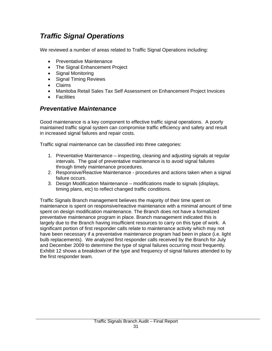# *Traffic Signal Operations*

We reviewed a number of areas related to Traffic Signal Operations including:

- Preventative Maintenance
- The Signal Enhancement Project
- Signal Monitoring
- Signal Timing Reviews
- Claims
- Manitoba Retail Sales Tax Self Assessment on Enhancement Project Invoices
- Facilities

# *Preventative Maintenance*

Good maintenance is a key component to effective traffic signal operations. A poorly maintained traffic signal system can compromise traffic efficiency and safety and result in increased signal failures and repair costs.

Traffic signal maintenance can be classified into three categories:

- 1. Preventative Maintenance inspecting, cleaning and adjusting signals at regular intervals. The goal of preventative maintenance is to avoid signal failures through timely maintenance procedures.
- 2. Responsive/Reactive Maintenance procedures and actions taken when a signal failure occurs.
- 3. Design Modification Maintenance modifications made to signals (displays, timing plans, etc) to reflect changed traffic conditions.

Traffic Signals Branch management believes the majority of their time spent on maintenance is spent on responsive/reactive maintenance with a minimal amount of time spent on design modification maintenance. The Branch does not have a formalized preventative maintenance program in place. Branch management indicated this is largely due to the Branch having insufficient resources to carry on this type of work. A significant portion of first responder calls relate to maintenance activity which may not have been necessary if a preventative maintenance program had been in place (i.e. light bulb replacements). We analyzed first responder calls received by the Branch for July and December 2009 to determine the type of signal failures occurring most frequently. Exhibit 12 shows a breakdown of the type and frequency of signal failures attended to by the first responder team.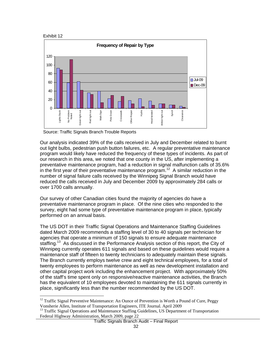

 $\overline{a}$ 



Source: Traffic Signals Branch Trouble Reports

Our analysis indicated 39% of the calls received in July and December related to burnt out light bulbs, pedestrian push button failures, etc. A regular preventative maintenance program would likely have reduced the frequency of these types of incidents. As part of our research in this area, we noted that one county in the US, after implementing a preventative maintenance program, had a reduction in signal malfunction calls of 35.6% in the first year of their preventative maintenance program.<sup>12</sup> A similar reduction in the number of signal failure calls received by the Winnipeg Signal Branch would have reduced the calls received in July and December 2009 by approximately 284 calls or over 1700 calls annually.

Our survey of other Canadian cities found the majority of agencies do have a preventative maintenance program in place. Of the nine cities who responded to the survey, eight had some type of preventative maintenance program in place, typically performed on an annual basis.

The US DOT in their Traffic Signal Operations and Maintenance Staffing Guidelines dated March 2009 recommends a staffing level of 30 to 40 signals per technician for agencies that operate a minimum of 150 signals to ensure adequate maintenance staffing.<sup>13</sup> As discussed in the Performance Analysis section of this report, the City of Winnipeg currently operates 611 signals and based on these guidelines would require a maintenance staff of fifteen to twenty technicians to adequately maintain these signals. The Branch currently employs twelve crew and eight technical employees, for a total of twenty employees to perform maintenance as well as new development installation and other capital project work including the enhancement project. With approximately 50% of the staff's time spent only on responsive/reactive maintenance activities, the Branch has the equivalent of 10 employees devoted to maintaining the 611 signals currently in place, significantly less than the number recommended by the US DOT.

 $12$  Traffic Signal Preventive Maintenance: An Ounce of Prevention is Worth a Pound of Cure, Peggy Vonsherie Allen, Institute of Transportation Engineers, ITE Journal. April 2009 13 Traffic Signal Operations and Maintenance Staffing Guidelines, US Department of Transportation

Federal Highway Administration, March 2009, page 22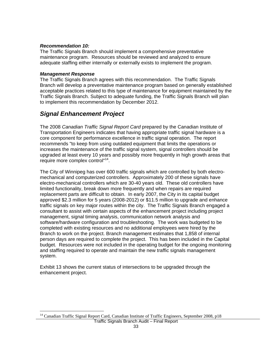#### *Recommendation 10:*

The Traffic Signals Branch should implement a comprehensive preventative maintenance program. Resources should be reviewed and analyzed to ensure adequate staffing either internally or externally exists to implement the program.

#### *Management Response*

 $\overline{a}$ 

The Traffic Signals Branch agrees with this recommendation. The Traffic Signals Branch will develop a preventative maintenance program based on generally established acceptable practices related to this type of maintenance for equipment maintained by the Traffic Signals Branch. Subject to adequate funding, the Traffic Signals Branch will plan to implement this recommendation by December 2012.

# *Signal Enhancement Project*

The 2008 *Canadian Traffic Signal Report Card* prepared by the Canadian Institute of Transportation Engineers indicates that having appropriate traffic signal hardware is a core component for performance excellence in traffic signal operation. The report recommends "to keep from using outdated equipment that limits the operations or increases the maintenance of the traffic signal system, signal controllers should be upgraded at least every 10 years and possibly more frequently in high growth areas that require more complex control"14.

The City of Winnipeg has over 600 traffic signals which are controlled by both electromechanical and computerized controllers. Approximately 200 of these signals have electro-mechanical controllers which are 30-40 years old. These old controllers have limited functionality, break down more frequently and when repairs are required replacement parts are difficult to obtain. In early 2007, the City in its capital budget approved \$2.3 million for 5 years (2008-2012) or \$11.5 million to upgrade and enhance traffic signals on key major routes within the city. The Traffic Signals Branch engaged a consultant to assist with certain aspects of the enhancement project including project management, signal timing analysis, communication network analysis and software/hardware configuration and troubleshooting. The work was budgeted to be completed with existing resources and no additional employees were hired by the Branch to work on the project. Branch management estimates that 1,858 of internal person days are required to complete the project. This has been included in the Capital budget. Resources were not included in the operating budget for the ongoing monitoring and staffing required to operate and maintain the new traffic signals management system.

Exhibit 13 shows the current status of intersections to be upgraded through the enhancement project.

<sup>&</sup>lt;sup>14</sup> Canadian Traffic Signal Report Card, Canadian Institute of Traffic Engineers, September 2008, p18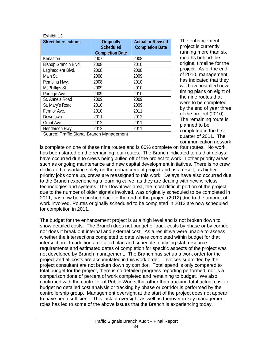| <b>Street Intersections</b> | Originally<br><b>Scheduled</b><br><b>Completion Date</b> | <b>Actual or Revised</b><br><b>Completion Date</b> |
|-----------------------------|----------------------------------------------------------|----------------------------------------------------|
| Kenaston                    | 2007                                                     | 2008                                               |
| Bishop Grandin Blvd.        | 2008                                                     | 2010                                               |
| Lagimodiere Blvd.           | 2008                                                     | 2008                                               |
| Main St.                    | 2008                                                     | 2009                                               |
| Pembina Hwy.                | 2008                                                     | 2010                                               |
| McPhillips St.              | 2009                                                     | 2010                                               |
| Portage Ave.                | 2009                                                     | 2010                                               |
| St. Anne's Road             | 2009                                                     | 2009                                               |
| St. Mary's Road             | 2010                                                     | 2009                                               |
| Fermor Ave.                 | 2010                                                     | 2011                                               |
| Downtown                    | 2011                                                     | 2012                                               |
| <b>Grant Ave</b>            | 2012                                                     | 2011                                               |
| Henderson Hwy.              | 2012                                                     | 2011                                               |

Source: Traffic Signal Branch Management

The enhancement project is currently running more than six months behind the original timeline for the project. As of the end of 2010, management has indicated that they will have installed new timing plans on eight of the nine routes that were to be completed by the end of year three of the project (2010). The remaining route is planned to be completed in the first quarter of 2011. The communication network

is complete on one of these nine routes and is 60% complete on four routes. No work has been started on the remaining four routes. The Branch indicated to us that delays have occurred due to crews being pulled off of the project to work in other priority areas such as ongoing maintenance and new capital development initiatives. There is no crew dedicated to working solely on the enhancement project and as a result, as higher priority jobs come up, crews are reassigned to this work. Delays have also occurred due to the Branch experiencing a learning curve, as they are dealing with new wireless technologies and systems. The Downtown area, the most difficult portion of the project due to the number of older signals involved, was originally scheduled to be completed in 2011, has now been pushed back to the end of the project (2012) due to the amount of work involved. Routes originally scheduled to be completed in 2012 are now scheduled for completion in 2011.

The budget for the enhancement project is at a high level and is not broken down to show detailed costs. The Branch does not budget or track costs by phase or by corridor, nor does it break out internal and external cost. As a result we were unable to assess whether the intersections completed to date where completed within budget for that intersection. In addition a detailed plan and schedule, outlining staff resource requirements and estimated dates of completion for specific aspects of the project was not developed by Branch management. The Branch has set up a work order for the project and all costs are accumulated in this work order. Invoices submitted by the project consultant are not broken down by corridor. Total spend is only compared to total budget for the project, there is no detailed progress reporting performed, nor is a comparison done of percent of work completed and remaining to budget. We also confirmed with the controller of Public Works that other than tracking total actual cost to budget no detailed cost analysis or tracking by phase or corridor is performed by the controllership group. Management oversight at the start of the project does not appear to have been sufficient. This lack of oversight as well as turnover in key management roles has led to some of the above issues that the Branch is experiencing today.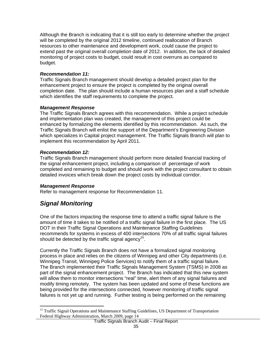Although the Branch is indicating that it is still too early to determine whether the project will be completed by the original 2012 timeline, continued reallocation of Branch resources to other maintenance and development work, could cause the project to extend past the original overall completion date of 2012. In addition, the lack of detailed monitoring of project costs to budget, could result in cost overruns as compared to budget.

#### *Recommendation 11:*

Traffic Signals Branch management should develop a detailed project plan for the enhancement project to ensure the project is completed by the original overall completion date. The plan should include a human resources plan and a staff schedule which identifies the staff requirements to complete the project.

#### *Management Response*

The Traffic Signals Branch agrees with this recommendation. While a project schedule and implementation plan was created, the management of this project could be enhanced by formalizing the elements identified by this recommendation. As such, the Traffic Signals Branch will enlist the support of the Department's Engineering Division which specializes in Capital project management. The Traffic Signals Branch will plan to implement this recommendation by April 2011.

#### *Recommendation 12:*

Traffic Signals Branch management should perform more detailed financial tracking of the signal enhancement project, including a comparison of percentage of work completed and remaining to budget and should work with the project consultant to obtain detailed invoices which break down the project costs by individual corridor.

#### *Management Response*

Refer to management response for Recommendation 11.

# *Signal Monitoring*

One of the factors impacting the response time to attend a traffic signal failure is the amount of time it takes to be notified of a traffic signal failure in the first place. The US DOT in their Traffic Signal Operations and Maintenance Staffing Guidelines recommends for systems in excess of 400 intersections 70% of all traffic signal failures should be detected by the traffic signal agency<sup>15</sup>.

Currently the Traffic Signals Branch does not have a formalized signal monitoring process in place and relies on the citizens of Winnipeg and other City departments (i.e. Winnipeg Transit, Winnipeg Police Services) to notify them of a traffic signal failure. The Branch implemented their Traffic Signals Management System (TSMS) in 2008 as part of the signal enhancement project. The Branch has indicated that this new system will allow them to monitor intersections "real" time, alert them of any signal failures and modify timing remotely. The system has been updated and some of these functions are being provided for the intersections connected, however monitoring of traffic signal failures is not yet up and running. Further testing is being performed on the remaining

 $\overline{a}$ <sup>15</sup> Traffic Signal Operations and Maintenance Staffing Guidelines, US Department of Transportation Federal Highway Administration, March 2009, page 14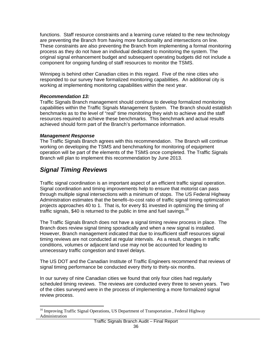functions. Staff resource constraints and a learning curve related to the new technology are preventing the Branch from having more functionality and intersections on line. These constraints are also preventing the Branch from implementing a formal monitoring process as they do not have an individual dedicated to monitoring the system. The original signal enhancement budget and subsequent operating budgets did not include a component for ongoing funding of staff resources to monitor the TSMS.

Winnipeg is behind other Canadian cities in this regard. Five of the nine cities who responded to our survey have formalized monitoring capabilities. An additional city is working at implementing monitoring capabilities within the next year.

#### *Recommendation 13:*

Traffic Signals Branch management should continue to develop formalized monitoring capabilities within the Traffic Signals Management System. The Branch should establish benchmarks as to the level of "real" time monitoring they wish to achieve and the staff resources required to achieve these benchmarks. This benchmark and actual results achieved should form part of the Branch's performance information.

#### *Management Response*

The Traffic Signals Branch agrees with this recommendation. The Branch will continue working on developing the TSMS and benchmarking for monitoring of equipment operation will be part of the elements of the TSMS once completed. The Traffic Signals Branch will plan to implement this recommendation by June 2013.

# *Signal Timing Reviews*

Traffic signal coordination is an important aspect of an efficient traffic signal operation. Signal coordination and timing improvements help to ensure that motorist can pass through multiple signal intersections with a minimum of stops. The US Federal Highway Administration estimates that the benefit–to-cost ratio of traffic signal timing optimization projects approaches 40 to 1. That is, for every \$1 invested in optimizing the timing of traffic signals, \$40 is returned to the public in time and fuel savings.<sup>16</sup>

The Traffic Signals Branch does not have a signal timing review process in place. The Branch does review signal timing sporadically and when a new signal is installed. However, Branch management indicated that due to insufficient staff resources signal timing reviews are not conducted at regular intervals. As a result, changes in traffic conditions, volumes or adjacent land use may not be accounted for leading to unnecessary traffic congestion and travel delays.

The US DOT and the Canadian Institute of Traffic Engineers recommend that reviews of signal timing performance be conducted every thirty to thirty-six months.

In our survey of nine Canadian cities we found that only four cities had regularly scheduled timing reviews. The reviews are conducted every three to seven years. Two of the cities surveyed were in the process of implementing a more formalized signal review process.

 $\overline{a}$ <sup>16</sup> Improving Traffic Signal Operations, US Department of Transportation, Federal Highway Administration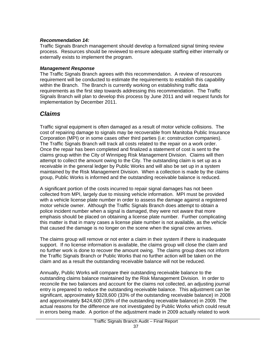#### *Recommendation 14:*

Traffic Signals Branch management should develop a formalized signal timing review process. Resources should be reviewed to ensure adequate staffing either internally or externally exists to implement the program.

#### *Management Response*

The Traffic Signals Branch agrees with this recommendation. A review of resources requirement will be conducted to estimate the requirements to establish this capability within the Branch. The Branch is currently working on establishing traffic data requirements as the first step towards addressing this recommendation. The Traffic Signals Branch will plan to develop this process by June 2011 and will request funds for implementation by December 2011.

# *Claims*

Traffic signal equipment is often damaged as a result of motor vehicle collisions. The cost of repairing damage to signals may be recoverable from Manitoba Public Insurance Corporation (MPI) or in some cases other third parties (i.e: construction companies). The Traffic Signals Branch will track all costs related to the repair on a work order. Once the repair has been completed and finalized a statement of cost is sent to the claims group within the City of Winnipeg Risk Management Division. Claims will then attempt to collect the amount owing to the City. The outstanding claim is set up as a receivable in the general ledger by Public Works and will also be set up in a system maintained by the Risk Management Division. When a collection is made by the claims group, Public Works is informed and the outstanding receivable balance is reduced.

A significant portion of the costs incurred to repair signal damages has not been collected from MPI, largely due to missing vehicle information. MPI must be provided with a vehicle license plate number in order to assess the damage against a registered motor vehicle owner. Although the Traffic Signals Branch does attempt to obtain a police incident number when a signal is damaged, they were not aware that more emphasis should be placed on obtaining a license plate number. Further complicating this matter is that in many cases a license plate number is not available, as the vehicle that caused the damage is no longer on the scene when the signal crew arrives.

The claims group will remove or not enter a claim in their system if there is inadequate support. If no license information is available, the claims group will close the claim and no further work is done to recover the amount owing. The claims group does not inform the Traffic Signals Branch or Public Works that no further action will be taken on the claim and as a result the outstanding receivable balance will not be reduced.

Annually, Public Works will compare their outstanding receivable balance to the outstanding claims balance maintained by the Risk Management Division. In order to reconcile the two balances and account for the claims not collected, an adjusting journal entry is prepared to reduce the outstanding receivable balance. This adjustment can be significant, approximately \$328,600 (33% of the outstanding receivable balance) in 2008 and approximately \$424,600 (35% of the outstanding receivable balance) in 2009. The actual reasons for the difference are not investigated by Public Works which could result in errors being made. A portion of the adjustment made in 2009 actually related to work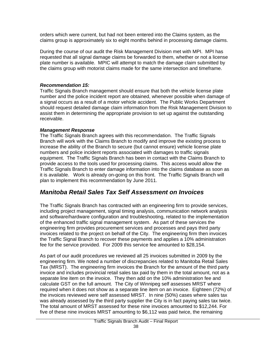orders which were current, but had not been entered into the Claims system, as the claims group is approximately six to eight months behind in processing damage claims.

During the course of our audit the Risk Management Division met with MPI. MPI has requested that all signal damage claims be forwarded to them, whether or not a license plate number is available. MPIC will attempt to match the damage claim submitted by the claims group with motorist claims made for the same intersection and timeframe.

#### *Recommendation 15:*

Traffic Signals Branch management should ensure that both the vehicle license plate number and the police incident report are obtained, whenever possible when damage of a signal occurs as a result of a motor vehicle accident. The Public Works Department should request detailed damage claim information from the Risk Management Division to assist them in determining the appropriate provision to set up against the outstanding receivable.

#### *Management Response*

The Traffic Signals Branch agrees with this recommendation. The Traffic Signals Branch will work with the Claims Branch to modify and improve the existing process to increase the ability of the Branch to secure (but cannot ensure) vehicle license plate numbers and police incident reports associated with damages to traffic signals equipment. The Traffic Signals Branch has been in contact with the Claims Branch to provide access to the tools used for processing claims. This access would allow the Traffic Signals Branch to enter damage information into the claims database as soon as it is available. Work is already on-going on this front. The Traffic Signals Branch will plan to implement this recommendation by June 2011.

# *Manitoba Retail Sales Tax Self Assessment on Invoices*

The Traffic Signals Branch has contracted with an engineering firm to provide services, including project management, signal timing analysis, communication network analysis and software/hardware configuration and troubleshooting, related to the implementation of the enhanced traffic signal management system. As part of these services the engineering firm provides procurement services and processes and pays third party invoices related to the project on behalf of the City. The engineering firm then invoices the Traffic Signal Branch to recover these payments and applies a 10% administration fee for the service provided. For 2009 this service fee amounted to \$28,154.

As part of our audit procedures we reviewed all 25 invoices submitted in 2009 by the engineering firm. We noted a number of discrepancies related to Manitoba Retail Sales Tax (MRST). The engineering firm invoices the Branch for the amount of the third party invoice and includes provincial retail sales tax paid by them in the total amount, not as a separate line item on the invoice. They then add on the 10% administration fee and calculate GST on the full amount. The City of Winnipeg self assesses MRST where required when it does not show as a separate line item on an invoice. Eighteen (72%) of the invoices reviewed were self assessed MRST. In nine (50%) cases where sales tax was already assessed by the third party supplier the City is in fact paying sales tax twice. The total amount of MRST assessed for these nine invoices amounted to \$12,244. For five of these nine invoices MRST amounting to \$6,112 was paid twice, the remaining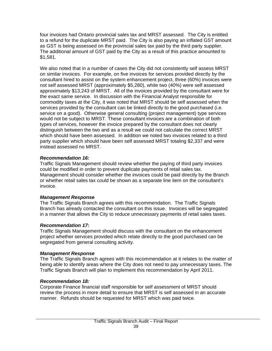four invoices had Ontario provincial sales tax and MRST assessed. The City is entitled to a refund for the duplicate MRST paid. The City is also paying an inflated GST amount as GST is being assessed on the provincial sales tax paid by the third party supplier. The additional amount of GST paid by the City as a result of this practice amounted to \$1,581.

We also noted that in a number of cases the City did not consistently self assess MRST on similar invoices. For example, on five invoices for services provided directly by the consultant hired to assist on the system enhancement project, three (60%) invoices were not self assessed MRST (approximately \$5,280), while two (40%) were self assessed approximately \$13,243 of MRST. All of the invoices provided by the consultant were for the exact same service. In discussion with the Financial Analyst responsible for commodity taxes at the City, it was noted that MRST should be self assessed when the services provided by the consultant can be linked directly to the good purchased (i.e. service on a good). Otherwise general consulting (project management) type services would not be subject to MRST. These consultant invoices are a combination of both types of services, however the invoice prepared by the consultant does not clearly distinguish between the two and as a result we could not calculate the correct MRST which should have been assessed. In addition we noted two invoices related to a third party supplier which should have been self assessed MRST totaling \$2,337 and were instead assessed no MRST.

#### *Recommendation 16:*

Traffic Signals Management should review whether the paying of third party invoices could be modified in order to prevent duplicate payments of retail sales tax. Management should consider whether the invoices could be paid directly by the Branch or whether retail sales tax could be shown as a separate line item on the consultant's invoice.

#### *Management Response*

The Traffic Signals Branch agrees with this recommendation. The Traffic Signals Branch has already contacted the consultant on this issue. Invoices will be segregated in a manner that allows the City to reduce unnecessary payments of retail sales taxes.

### *Recommendation 17:*

Traffic Signals Management should discuss with the consultant on the enhancement project whether services provided which relate directly to the good purchased can be segregated from general consulting activity.

### *Management Response*

The Traffic Signals Branch agrees with this recommendation at it relates to the matter of being able to identify areas where the City does not need to pay unnecessary taxes. The Traffic Signals Branch will plan to implement this recommendation by April 2011.

#### *Recommendation 18:*

Corporate Finance financial staff responsible for self assessment of MRST should review the process in more detail to ensure that MRST is self assessed in an accurate manner. Refunds should be requested for MRST which was paid twice.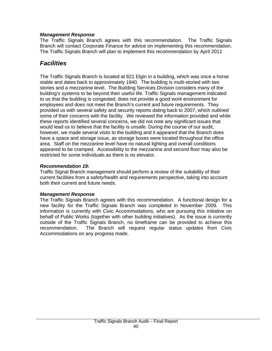#### *Management Response*

The Traffic Signals Branch agrees with this recommendation. The Traffic Signals Branch will contact Corporate Finance for advice on implementing this recommendation. The Traffic Signals Branch will plan to implement this recommendation by April 2011

# *Facilities*

The Traffic Signals Branch is located at 821 Elgin in a building, which was once a horse stable and dates back to approximately 1940. The building is multi-storied with two stories and a mezzanine level. The Building Services Division considers many of the building's systems to be beyond their useful life. Traffic Signals management indicated to us that the building is congested, does not provide a good work environment for employees and does not meet the Branch's current and future requirements. They provided us with several safety and security reports dating back to 2007, which outlined some of their concerns with the facility. We reviewed the information provided and while these reports identified several concerns, we did not note any significant issues that would lead us to believe that the facility is unsafe. During the course of our audit, however, we made several visits to the building and it appeared that the Branch does have a space and storage issue, as storage boxes were located throughout the office area. Staff on the mezzanine level have no natural lighting and overall conditions appeared to be cramped. Accessibility to the mezzanine and second floor may also be restricted for some individuals as there is no elevator.

#### *Recommendation 19:*

Traffic Signal Branch management should perform a review of the suitability of their current facilities from a safety/health and requirements perspective, taking into account both their current and future needs.

#### *Management Response*

The Traffic Signals Branch agrees with this recommendation. A functional design for a new facility for the Traffic Signals Branch was completed in November 2009. This information is currently with Civic Accommodations, who are pursuing this initiative on behalf of Public Works (together with other building initiatives). As the issue is currently outside of the Traffic Signals Branch, no timeframe can be provided to achieve this recommendation. The Branch will request regular status updates from Civic Accommodations on any progress made.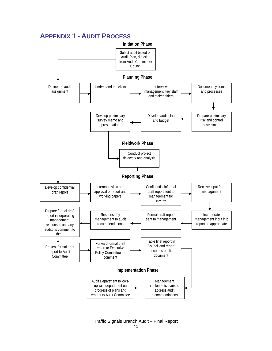# **APPENDIX 1 - AUDIT PROCESS**

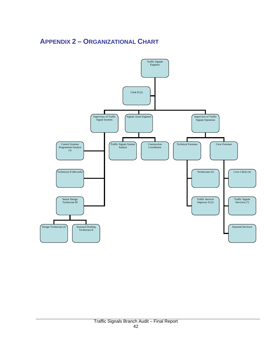# **APPENDIX 2 – ORGANIZATIONAL CHART**

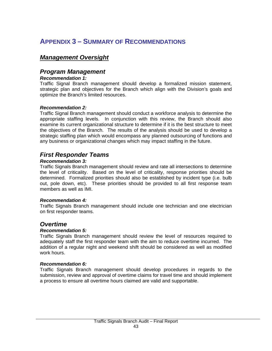# **APPENDIX 3 – SUMMARY OF RECOMMENDATIONS**

### *Management Oversight*

### *Program Management*

#### *Recommendation 1:*

Traffic Signal Branch management should develop a formalized mission statement, strategic plan and objectives for the Branch which align with the Division's goals and optimize the Branch's limited resources.

#### *Recommendation 2:*

Traffic Signal Branch management should conduct a workforce analysis to determine the appropriate staffing levels. In conjunction with this review, the Branch should also examine its current organizational structure to determine if it is the best structure to meet the objectives of the Branch. The results of the analysis should be used to develop a strategic staffing plan which would encompass any planned outsourcing of functions and any business or organizational changes which may impact staffing in the future.

### *First Responder Teams*

#### *Recommendation 3:*

Traffic Signals Branch management should review and rate all intersections to determine the level of criticality. Based on the level of criticality, response priorities should be determined. Formalized priorities should also be established by incident type (i.e. bulb out, pole down, etc). These priorities should be provided to all first response team members as well as IMI.

#### *Recommendation 4:*

Traffic Signals Branch management should include one technician and one electrician on first responder teams.

### *Overtime*

#### *Recommendation 5:*

Traffic Signals Branch management should review the level of resources required to adequately staff the first responder team with the aim to reduce overtime incurred. The addition of a regular night and weekend shift should be considered as well as modified work hours.

#### *Recommendation 6:*

Traffic Signals Branch management should develop procedures in regards to the submission, review and approval of overtime claims for travel time and should implement a process to ensure all overtime hours claimed are valid and supportable.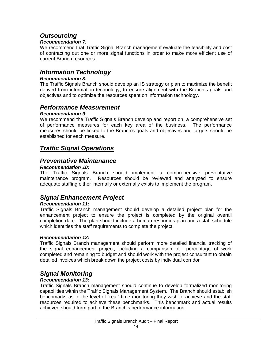# *Outsourcing*

#### *Recommendation 7:*

We recommend that Traffic Signal Branch management evaluate the feasibility and cost of contracting out one or more signal functions in order to make more efficient use of current Branch resources.

### *Information Technology*

#### *Recommendation 8:*

The Traffic Signals Branch should develop an IS strategy or plan to maximize the benefit derived from information technology, to ensure alignment with the Branch's goals and objectives and to optimize the resources spent on information technology.

# *Performance Measurement*

#### *Recommendation 9:*

We recommend the Traffic Signals Branch develop and report on, a comprehensive set of performance measures for each key area of the business. The performance measures should be linked to the Branch's goals and objectives and targets should be established for each measure.

# *Traffic Signal Operations*

### *Preventative Maintenance*

#### *Recommendation 10:*

The Traffic Signals Branch should implement a comprehensive preventative maintenance program. Resources should be reviewed and analyzed to ensure adequate staffing either internally or externally exists to implement the program.

# *Signal Enhancement Project*

#### *Recommendation 11:*

Traffic Signals Branch management should develop a detailed project plan for the enhancement project to ensure the project is completed by the original overall completion date. The plan should include a human resources plan and a staff schedule which identities the staff requirements to complete the project.

#### *Recommendation 12:*

Traffic Signals Branch management should perform more detailed financial tracking of the signal enhancement project, including a comparison of percentage of work completed and remaining to budget and should work with the project consultant to obtain detailed invoices which break down the project costs by individual corridor

# *Signal Monitoring*

#### *Recommendation 13:*

Traffic Signals Branch management should continue to develop formalized monitoring capabilities within the Traffic Signals Management System. The Branch should establish benchmarks as to the level of "real" time monitoring they wish to achieve and the staff resources required to achieve these benchmarks. This benchmark and actual results achieved should form part of the Branch's performance information.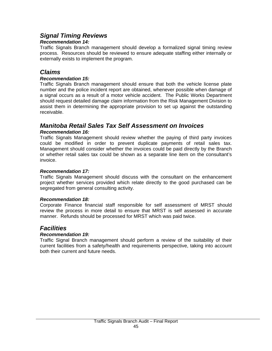### *Signal Timing Reviews*

#### *Recommendation 14:*

Traffic Signals Branch management should develop a formalized signal timing review process. Resources should be reviewed to ensure adequate staffing either internally or externally exists to implement the program.

### *Claims*

#### *Recommendation 15:*

Traffic Signals Branch management should ensure that both the vehicle license plate number and the police incident report are obtained, whenever possible when damage of a signal occurs as a result of a motor vehicle accident. The Public Works Department should request detailed damage claim information from the Risk Management Division to assist them in determining the appropriate provision to set up against the outstanding receivable.

#### *Manitoba Retail Sales Tax Self Assessment on Invoices Recommendation 16:*

Traffic Signals Management should review whether the paying of third party invoices could be modified in order to prevent duplicate payments of retail sales tax. Management should consider whether the invoices could be paid directly by the Branch or whether retail sales tax could be shown as a separate line item on the consultant's invoice.

#### *Recommendation 17:*

Traffic Signals Management should discuss with the consultant on the enhancement project whether services provided which relate directly to the good purchased can be segregated from general consulting activity.

#### *Recommendation 18:*

Corporate Finance financial staff responsible for self assessment of MRST should review the process in more detail to ensure that MRST is self assessed in accurate manner. Refunds should be processed for MRST which was paid twice.

### *Facilities*

#### *Recommendation 19:*

Traffic Signal Branch management should perform a review of the suitability of their current facilities from a safety/health and requirements perspective, taking into account both their current and future needs.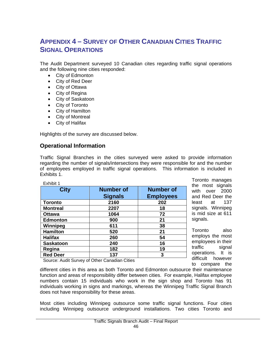# **APPENDIX 4 – SURVEY OF OTHER CANADIAN CITIES TRAFFIC SIGNAL OPERATIONS**

The Audit Department surveyed 10 Canadian cites regarding traffic signal operations and the following nine cities responded:

- City of Edmonton
- City of Red Deer
- City of Ottawa
- City of Regina
- City of Saskatoon
- City of Toronto
- City of Hamilton
- City of Montreal
- City of Halifax

Highlights of the survey are discussed below.

### **Operational Information**

Traffic Signal Branches in the cities surveyed were asked to provide information regarding the number of signals/intersections they were responsible for and the number of employees employed in traffic signal operations. This information is included in Exhibits 1.

| Exhibit 1        |                  |                  |
|------------------|------------------|------------------|
| <b>City</b>      | <b>Number of</b> | <b>Number of</b> |
|                  | <b>Signals</b>   | <b>Employees</b> |
| <b>Toronto</b>   | 2160             | 202              |
| <b>Montreal</b>  | 2207             | 18               |
| <b>Ottawa</b>    | 1064             | 72               |
| <b>Edmonton</b>  | 900              | 21               |
| Winnipeg         | 611              | 38               |
| <b>Hamilton</b>  | 520              | 21               |
| <b>Halifax</b>   | 260              | 54               |
| <b>Saskatoon</b> | 240              | 16               |
| Regina           | 182              | 19               |
| <b>Red Deer</b>  | 137              | 3                |

Toronto manages the most signals with over 2000 and Red Deer the least at 137 signals. Winnipeg is mid size at 611 signals.

Toronto also employs the most employees in their traffic signal operations. It is difficult however to compare the

Source: Audit Survey of Other Canadian Cities

different cities in this area as both Toronto and Edmonton outsource their maintenance function and areas of responsibility differ between cities. For example, Halifax employee numbers contain 15 individuals who work in the sign shop and Toronto has 91 individuals working in signs and markings, whereas the Winnipeg Traffic Signal Branch does not have responsibility for these areas.

Most cities including Winnipeg outsource some traffic signal functions. Four cities including Winnipeg outsource underground installations. Two cities Toronto and